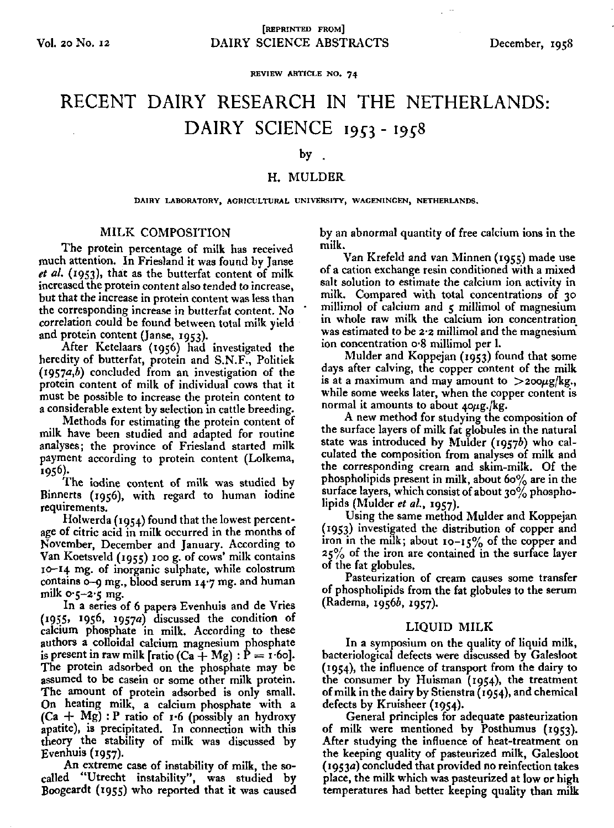**REVIEW ARTICLE NO. 74** 

# RECENT DAIRY RESEARCH IN THE NETHERLANDS: DAIRY SCIENCE 1953 - 1958

#### by .

## H. MULDER

**DAIRY LABORATORY, AGRICULTURAL UNIVERSITY, WAGENINGEN, NETHERLANDS.** 

## MILK COMPOSITION

The protein percentage of milk has received much attention. In Friesland it was found by Janse *et al.* (1953), that as the butterfat content of milk increased the protein content also tended to increase, but that the increase in protein content was less than the corresponding increase in butterfat content. No correlation could be found between total milk yield and protein content (Janse, 1953).

After Ketelaars (1956) had investigated the heredity of butterfat, protein and S.N.F., Politiek  $(1957a,b)$  concluded from an investigation of the protein content of milk of individual cows that it must be possible to increase the protein content to a considerable extent by selection in cattle breeding.

Methods for estimating the protein content of milk have been studied and adapted for routine analyses; the province of Friesland started milk payment according to protein content (Lolkema, 1956).

The iodine content of milk was studied by Binnerts (1956), with regard to human iodine requirements.

Holwerda (1954) found that the lowest percentage of citric acid in milk occurred in the months of November, December and January. According to Van Koetsveld (1955) 100 g. of cows' milk contains 10-14 mg. of inorganic sulphate, while colostrum contains 0-9 mg., blood serum 14-7 mg. and human milk  $o \rightarrow -2 \rightarrow mg$ .

In a series of 6 papers Evenhuis and de Vries (1955, 1956, 1957a) discussed the condition of calcium phosphate in milk. According to these authors a colloidal calcium magnesium phosphate is present in raw milk [ratio  $(Ca + Mg)$ :  $P = r·60$ ]. The protein adsorbed on the phosphate may be assumed to be casein or some other milk protein. The amount of protein adsorbed is only small. On heating milk, a calcium phosphate with a  $(Ca + Mg)$ : P ratio of 1.6 (possibly an hydroxy apatite), is precipitated. In connection with this theory the stability of milk was discussed by Evenhuis (1957).

An extreme case of instability of milk, the socalled "Utrecht instability", was studied by Boogeardt (1955) who reported that it was caused by an abnormal quantity of free calcium ions in the milk.

Van Krefeld and van Minnen (1955) made use of a cation exchange resin conditioned with a mixed salt solution to estimate the calcium ion activity in milk. Compared with total concentrations of 30 millimol of calcium and  $5$  millimol of magnesium in whole raw milk the calcium ion concentration was estimated to be 2-2 millimol and the magnesium ion concentration o-8 millimol per 1.

Mulder and Koppejan (1953) found that some days after calving, the copper content of the milk is at a maximum and may amount to  $>$ 200 $\mu$ g/kg., while some weeks later, when the copper content is normal it amounts to about  $40\mu$ g./kg.

A new method for studying the composition of the surface layers of milk fat globules in the natural state was introduced by Mulder (19576) who calculated the composition from analyses of milk and the corresponding cream and skim-milk. Of the phospholipids present in milk, about  $60\%$  are in the surface layers, which consist of about  $30\%$  phospholipids (Mulder *et al.,* 1957).

Using the same method Mulder and Koppejan (1953) investigated the distribution of copper and iron in the milk; about  $10 - 15%$  of the coppe 25% of the iron are contained in the surface layer of the fat globules.

Pasteurization of cream causes some transfer of phospholipids from the fat globules to the serum (Radema, 19566, 1957).

### LIQUID MILK

In a symposium on the quality of liquid milk, bacteriological defects were discussed by Galesloot (1954), the influence of transport from the dairy to the consumer by Huisman (1954), the treatment of milk in the dairy by Stienstra (1954), and chemical defects by Kruisheer (1954).

General principles for adequate pasteurization of milk were mentioned by Posthumus (1953). After studying the influence of heat-treatment on the keeping quality of pasteurized milk, Galesloot (1953a) concluded that provided no reinfection takes place, the milk which was pasteurized at low or high temperatures had better keeping quality than milk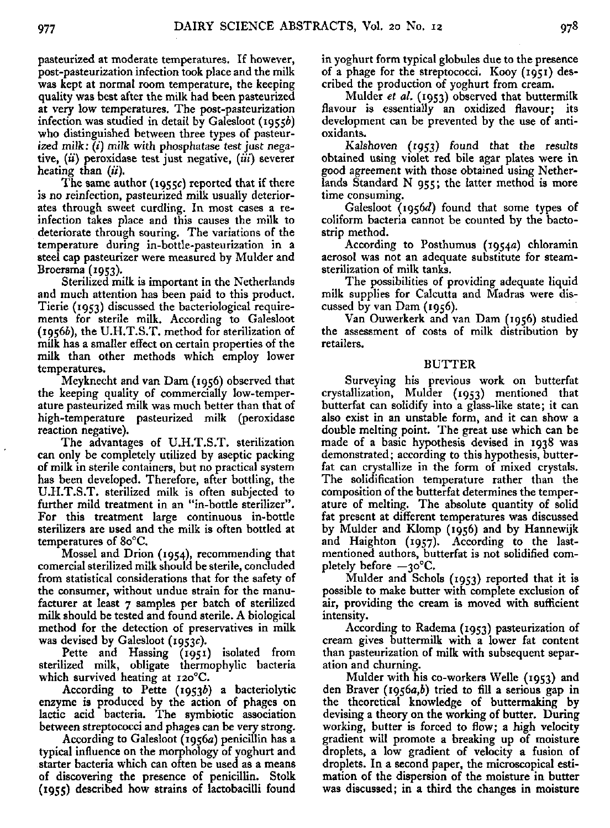pasteurized at moderate temperatures. If however, post-pasteurization infection took place and the milk was kept at normal room temperature, the keeping quality was best after the milk had been pasteurized at very low temperatures. The post-pasteurization infection was studied in detail by Galesloot (19556) who distinguished between three types of pasteurized milk:  $(i)$  milk with phosphatase test just negative, (*ii*) peroxidase test just negative, (*iii*) severer heating than  $(ii)$ .

The same author ( $1955c$ ) reported that if there is no reinfection, pasteurized milk usually deteriorates through sweet curdling. In most cases a reinfection takes place and this causes the milk to deteriorate through souring. The variations of the temperature during in-bottle-pasteurization in a steel cap pasteurizer were measured by Mulder and Broersma (1953).

Sterilized milk is important in the Netherlands and much attention has been paid to this product. Tierie (1953) discussed the bacteriological requirements for sterile milk. According to Galesloot (19566), the U.H.T.S.T. method for sterilization of milk has a smaller effect on certain properties of the milk than other methods which employ lower temperatures.

Meyknecht and van Dam (1956) observed that the keeping quality of commercially low-temperature pasteurized milk was much better than that of high-temperature pasteurized milk (peroxidase reaction negative).

The advantages of U.H.T.S.T. sterilization can only be completely utilized by aseptic packing of milk in sterile containers, but no practical system has been developed. Therefore, after bottling, the U.H.T.S.T. sterilized milk is often subjected to further mild treatment in an "in-bottle sterilizer". For this treatment large continuous in-bottle sterilizers are used and the milk is often bottled at temperatures of 80°C.

Mossel and Drion (1954), recommending that comercial sterilized milk should be sterile, concluded from statistical considerations that for the safety of the consumer, without undue strain for the manufacturer at least 7 samples per batch of sterilized milk should be tested and found sterile. A biological method for the detection of preservatives in milk was devised by Galesloot (1953c).

Pette and Hassing (1951) isolated from sterilized milk, obligate thermophylic bacteria which survived heating at i2o°C.

According to Pette (19536) a bacteriolytic enzyme is produced by the action of phages on lactic acid bacteria. The symbiotic association between streptococci and phages can be very strong.

According to Galesloot (1956a) penicillin has a typical influence on the morphology of yoghurt and starter bacteria which can often be used as a means of discovering the presence of penicillin. Stolk (1955) described how strains of lactobacilli found in yoghurt form typical globules due to the presence of a phage for the streptococci. Kooy (1951) described the production of yoghurt from cream.

Mulder *et al.* (1953) observed that buttermilk flavour is essentially an oxidized flavour; its development can be prevented by the use of antioxidants.

Kalshoven (1953) found that the results obtained using violet red bile agar plates were in good agreement with those obtained using Netherlands Standard N 955; the latter method is more time consuming.

Galesloot (1956d) found that some types of coliform bacteria cannot be counted by the bactostrip method.

According to Posthumus (1954a) chloramin aerosol was not an adequate substitute for steamsterilization of milk tanks.

The possibilities of providing adequate liquid milk supplies for Calcutta and Madras were discussed by van Dam (1956).

Van Ouwerkerk and van Dam (1956) studied the assessment of costs of milk distribution by retailers.

## **BUTTER**

Surveying his previous work on butterfat crystallization, Mulder (1953) mentioned that butterfat can solidify into a glass-like state; it can also exist in an unstable form, and it can show a double melting point. The great use which can be made of a basic hypothesis devised in 1938 was demonstrated; according to this hypothesis, butterfat can crystallize in the form of mixed crystals. The solidification temperature rather than the composition of the butterfat determines the temperature of melting. The absolute quantity of solid fat present at different temperatures was discussed by Mulder and Klomp (1956) and by Hannewijk and Haighton (1957). According to the lastmentioned authors, butterfat is not solidified completely before  $-30^{\circ}$ C.

Mulder and Schols (1953) reported that it is possible to make butter with complete exclusion of air, providing the cream is moved with sufficient intensity.

According to Radema (1953) pasteurization of cream gives buttermilk with a lower fat content than pasteurization of milk with subsequent separation and churning.

Mulder with his co-workers Welle (1953) and den Braver (19563,6) tried to fill a serious gap in the theoretical knowledge of buttermaking by devising a theory on the working of butter. During working, butter is forced to flow; a high velocity gradient will promote a breaking up of moisture droplets, a low gradient of velocity a fusion of droplets. In a second paper, the microscopical estimation of the dispersion of the moisture in butter was discussed; in a third the changes in moisture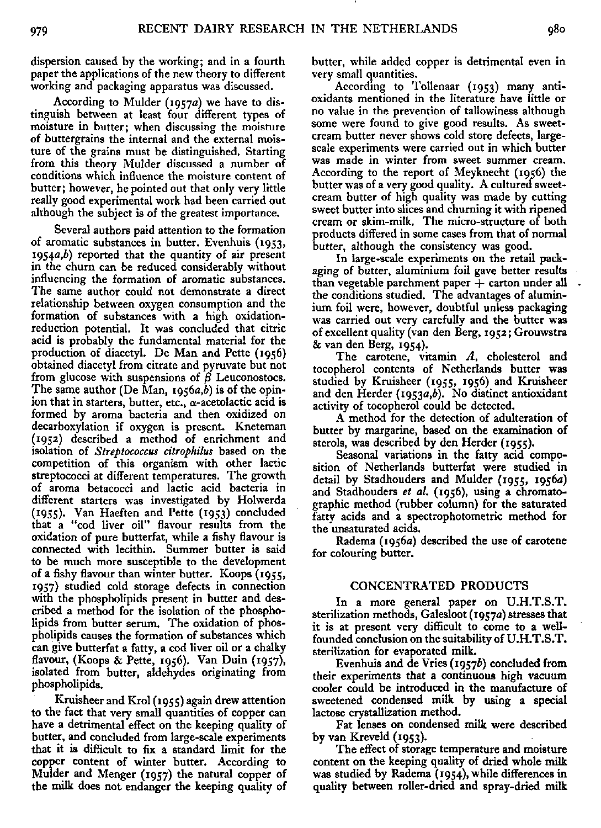dispersion caused by the working; and in a fourth paper the applications of the new theory to different working and packaging apparatus was discussed.

According to Mulder (1957a) we have to distinguish between at least four different types of moisture in butter; when discussing the moisture of buttergrains the internal and the external moisture of the grains must be distinguished. Starting from this theory Mulder discussed a number of conditions which influence the moisture content of butter; however, he pointed out that only very little really good experimental work had been carried out although the subject is of the greatest importance.

Several authors paid attention to the formation of aromatic substances in butter. Evenhuis (1953, 1954 $a,b$ ) reported that the quantity of air present in the churn can be reduced considerably without influencing the formation of aromatic substances. The same author could not demonstrate a direct relationship between oxygen consumption and the formation of substances with a high oxidationreduction potential. It was concluded that citric acid is probably the fundamental material for the production of diacetyl. De Man and Pette (1956) obtained diacetyl from citrate and pyruvate but not from glucose with suspensions of *ß* Leuconostocs. The same author (De Man,  $1956a,b$ ) is of the opinion that in starters, butter, etc.,  $\alpha$ -acetolactic acid is formed by aroma bacteria and then oxidized on decarboxylation if oxygen is present. Kneteman (1952) described a method of enrichment and isolation of *Streptococcus citrophilus* based on the competition of this organism with other lactic streptococci at different temperatures. The growth of aroma betacocci and lactic acid bacteria in different starters was investigated by Holwe  $(1955)$ . Van Haeften and Pette  $(1953)$  conclu that a "cod liver oil" flavour results from the oxidation of pure butterfat, while a fishy flavour is connected with lecithin. Summer butter is said to be much more susceptible to the development of a fishy flavour than winter butter. Koops (1955, 1957) studied cold storage defects in connection with the phospholipids present in butter and described a method for the isolation of the phospholipids from butter serum. The oxidation of phospholipids causes the formation of substances which can give butterfat a fatty, a cod liver oil or a chalky flavour, (Koops & Pette, 1956). Van Duin (1957), isolated from butter, aldehydes originating from phospholipids.

Kruisheer and Krol (1955) again drew attention to the fact that very small quantities of copper can have a detrimental effect on the keeping quality of butter, and concluded from large-scale experiments that it is difficult to fix a standard limit for the copper content of winter butter. According to Mulder and Menger (1957) the natural copper of the milk does not endanger the keeping quality of butter, while added copper is detrimental even in very small quantities.

According to Tollenaar (1953) many antioxidants mentioned in the literature have little or no value in the prevention of tallowiness although some were found to give good results. As sweetcream butter never shows cold store defects, largescale experiments were carried out in which butter was made in winter from sweet summer cream. According to the report of Meyknecht (1956) the butter was of a very good quality. A cultured sweetcream butter of high quality was made by cutting sweet butter into slices and churning it with ripened cream or skim-milk. The micro-structure of both products differed in some cases from that of normal butter, although the consistency was good.

In large-scale experiments on the retail packaging of butter, aluminium foil gave better results than vegetable parchment paper *-\-* carton under all the conditions studied. The advantages of aluminium foil were, however, doubtful unless packaging was carried out very carefully and the butter was of excellent quality (van den Berg, 1952; Grouwstra & van den Berg, 1954).

The carotene, vitamin *A,* cholesterol and tocopherol contents of Netherlands butter was studied by Kruisheer (1955, 1956) and Kruisheer and den Herder (1953a,b). No distinct antioxidant activity of tocopherol could be detected.

A method for the detection of adulteration of butter by margarine, based on the examination of sterols, was described by den Herder (1955).

Seasonal variations in the fatty acid composition of Netherlands butterfat were studied in detail by Stadhouders and Mulder (1955, 1956a) and Stadhouders *et al.* (1956), using a chromatographic method (rubber column) for the saturated fatty acids and a spectrophotometric method for the unsaturated acids.

Radema (1956a) described the use of carotene for colouring butter.

#### CONCENTRATED PRODUCTS

In a more general paper on U.H.T.S.T. sterilization methods, Galesloot (1957a) stresses that it is at present very difficult to come to a wellfounded conclusion on the suitability of U.H.T.S.T. sterilization for evaporated milk.

Evenhuis and de Vries (19576) concluded from their experiments that a continuous high vacuum cooler could be introduced in the manufacture of sweetened condensed milk by using a special lactose crystallization method.

Fat lenses on condensed milk were described by van Kreveld (1953).

The effect of storage temperature and moisture content on the keeping quality of dried whole milk was studied by Radema (1954), while differences in quality between roller-dried and spray-dried milk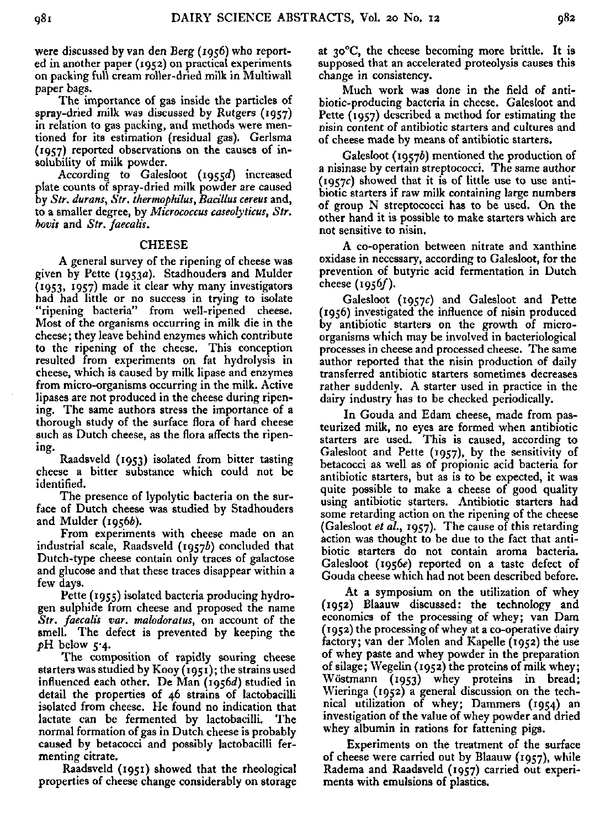were discussed by van den Berg (1956) who reported in another paper (1952) on practical experiments on packing full cream roller-dried milk in Multiwall paper bags.

The importance of gas inside the particles of spray-dried milk was discussed by Rutgers (1957) in relation to gas packing, and methods were mentioned for its estimation (residual gas). Gerlsma (1957) reported observations on the causes of insolubility of milk powder.

According to Galesloot (1955d) increased plate counts of spray-dried milk powder are caused by *Str. durans, Str. thermophilics, Bacillus cereus* and, to a smaller degree, by *Micrococcus caseolyticus, Str. bovis* and *Str. faecalis.* 

### **CHEESE**

A general survey of the ripening of cheese was given by Pette (1953a). Stadhouders and Mulder (1953, 1957) made it clear why many investigators had had little or no success in trying to isolate "ripening bacteria" from well-ripened cheese. Most of the organisms occurring in milk die in the cheese ; they leave behind enzymes which contribute to the ripening of the cheese. This conception resulted from experiments on fat hydrolysis in cheese, which is caused by milk lipase and enzymes from micro-organisms occurring in the milk. Active lipases are not produced in the cheese during ripening. The same authors stress the importance of a thorough study of the surface flora of hard cheese such as Dutch cheese, as the flora affects the ripening-

Raadsveld (1953) isolated from bitter tasting cheese a bitter substance which could not be identified.

The presence of lypolytic bacteria on the surface of Dutch cheese was studied by Stadhouders and Mulder (1956b).

From experiments with cheese made on an industrial scale, Raadsveld (19576) concluded that Dutch-type cheese contain only traces of galactose and glucose and that these traces disappear within a few days.

Pette (1955) isolated bacteria producing hydrogen sulphide from cheese and proposed the name *Str. faecalis var. malodoratus,* on account of the smell. The defect is prevented by keeping the  $pH$  below  $5.4$ .

The composition of rapidly souring cheese starters was studied by Kooy (1951) ; the strains used influenced each other. De Man  $(1956d)$  studied in detail the properties of 46 strains of lactobacilli isolated from cheese. He found no indication that lactate can be fermented by lactobacilli. The normal formation of gas in Dutch cheese is probably caused by betacocci and possibly lactobacilli fermenting citrate.

Raadsveld (1951) showed that the rheological properties of cheese change considerably on storage at 30°C, the cheese becoming more brittle. It is supposed that an accelerated proteolysis causes this change in consistency.

Much work was done in the field of antibiotic-producing bacteria in cheese. Galesloot and Pette (1957) described a method for estimating the nisin content of antibiotic starters and cultures and of cheese made by means of antibiotic starters.

Galesloot (19576) mentioned the production of a nisinase by certain streptococci. The same author  $(1957c)$  showed that it is of little use to use antibiotic starters if raw milk containing large numbers of group N streptococci has to be used. On the other hand it is possible to make starters which are not sensitive to nisin.

A co-operation between nitrate and xanthine oxidase in necessary, according to Galesloot, for the prevention of butyric acid fermentation in Dutch cheese  $(1956f)$ .

Galesloot (1957c) and Galesloot and Pette (1956) investigated the influence of nisin produced by antibiotic starters on the growth of microorganisms which may be involved in bacteriological processes in cheese and processed cheese. The same author reported that the nisin production of daily transferred antibiotic starters sometimes decreases rather suddenly. A starter used in practice in the dairy industry has to be checked periodically.

In Gouda and Edam cheese, made from pasteurized milk, no eyes are formed when antibiotic starters are used. This is caused, according to Galesloot and Pette (1957), by the sensitivity of betacocci as well as of propionic acid bacteria for antibiotic starters, but as is to be expected, it was quite possible to make a cheese of good quality using antibiotic starters. Antibiotic starters had some retarding action on the ripening of the cheese (Galesloot *et al.,* 1957). The cause of this retarding action was thought to be due to the fact that antibiotic starters do not contain aroma bacteria. Galesloot (1956e) reported on a taste defect of Gouda cheese which had not been described before.

At a symposium on the utilization of whey (1952) Blaauw discussed: the technology and economics of the processing of whey; van Dam (1952) the processing of whey at a co-operative dairy factory; van der Molen and Kapelle (1952) the use of whey paste and whey powder in the preparation of silage ; Wegelin (1952) the proteins of milk whey; Wöstmann (1953) whey proteins in bread; Wieringa (1952) a general discussion on the technical utilization of whey; Dammers (1954) an investigation of the value of whey powder and dried whey albumin in rations for fattening pigs.

Experiments on the treatment of the surface of cheese were carried out by Blaauw (1957), while Radema and Raadsveld (1957) carried out experiments with emulsions of plastics.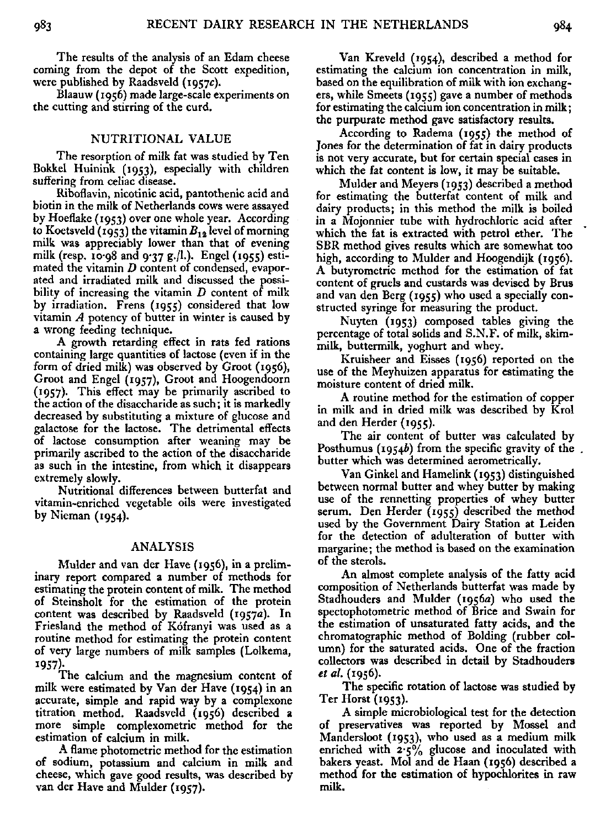The results of the analysis of an Edam cheese coming from the depot of the Scott expedition, were published by Raadsveld (1957c).

Blaauw (1956) made large-scale experiments on the cutting and stirring of the curd.

## NUTRITIONAL VALUE

The resorption of milk fat was studied by Ten Bokkel Huinink (1953), especially with children suffering from celiac disease.

Riboflavin, nicotinic acid, pantothenic acid and biotin in the milk of Netherlands cows were assayed by Hoeflake (1953) over one whole year. According to Koetsveld (1953) the vitamin *B12* level of morning milk was appreciably lower than that of evening milk (resp. 10.98 and 9.37 g./l.). Engel (1955) estimated the vitamin *D* content of condensed, evaporated and irradiated milk and discussed the possibility of increasing the vitamin *D* content of milk by irradiation. Frens (1955) considered that low vitamin *A* potency of butter in winter is caused by a wrong feeding technique.

A growth retarding effect in rats fed rations containing large quantities of lactose (even if in the form of dried milk) was observed by Groot (1956), Groot and Engel (1957), Groot and Hoogendoorn (1957). This effect may be primarily ascribed the action of the disaccharide as such; it is markedly decreased by substituting a mixture of glucose and galactose for the lactose. The detrimental effects of lactose consumption after weaning may be primarily ascribed to the action of the disaccharide as such in the intestine, from which it disappears extremely slowly.

Nutritional differences between butterfat and vitamin-enriched vegetable oils were investigated by Nieman (1954).

#### ANALYSIS

Mulder and van der Have (1956), in a preliminary report compared a number of methods for estimating the protein content of milk. The method of Steinsholt for the estimation of the protein content was described by Raadsveld (1957a). In Friesland the method of Kófranyi was used as a routine method for estimating the protein content of very large numbers of milk samples (Lolkema, 1957)-

The calcium and the magnesium content of milk were estimated by Van der Have (1954) in an accurate, simple and rapid way by a complexone titration method. Raadsveld (1956) described a more simple complexometric method for the estimation of calcium in milk.

A flame photometric method for the estimation of sodium, potassium and calcium in milk and cheese, which gave good results, was described by van der Have and Mulder (1957).

Van Kreveld (1954), described a method for estimating the calcium ion concentration in milk, based on the equilibration of milk with ion exchangers, while Smeets (1955) gave a number of methods for estimating the calcium ion concentration in milk ; the purpurate method gave satisfactory results.

According to Radema (1955) the method of Jones for the determination of fat in dairy products is not very accurate, but for certain special cases in which the fat content is low, it may be suitable.

Mulder and Meyers (1953) described a method for estimating the butterfat content of milk and dairy products; in this method the milk is boiled in a Mojonnier tube with hydrochloric acid after which the fat is extracted with petrol ether. The SBR method gives results which are somewhat too high, according to Mulder and Hoogendijk (1956). A butyrometric method for the estimation of fat content of gruels and custards was devised by Brus and van den Berg (1955) who used a specially constructed syringe for measuring the product.

Nuyten (1953) composed tables giving the percentage of total solids and S.N.F. of milk, skimmilk, buttermilk, yoghurt and whey.

Kruisheer and Eisses (1956) reported on the use of the Meyhuizen apparatus for estimating the moisture content of dried milk.

A routine method for the estimation of copper in milk and in dried milk was described by Krol and den Herder (1955).

The air content of butter was calculated by Posthumus (1954b) from the specific gravity of the butter which was determined aerometrically.

Van Ginkel and Hamelink (1953) distinguished between normal butter and whey butter by making use of the rennetting properties of whey butter serum. Den Herder (1955) described the method used by the Government Dairy Station at Leiden for the detection of adulteration of butter with margarine; the method is based on the examination of the sterols.

An almost complete analysis of the fatty acid composition of Netherlands butterfat was made by Stadhouders and Mulder (1956a) who used the spectophotometric method of Brice and Swain for the estimation of unsaturated fatty acids, and the chromatographic method of Bolding (rubber column) for the saturated acids. One of the fraction collectors was described in detail by Stadhouders *et al.* (1956).

The specific rotation of lactose was studied by Ter Horst (1953).

A simple microbiological test for the detection of preservatives was reported by Mossel and Mandersloot (1953), who used as a medium milk enriched with  $2.5\%$  glucose and inoculated with bakers yeast. Mol and de Haan (1956) described a method for the estimation of hypochlorites in raw milk.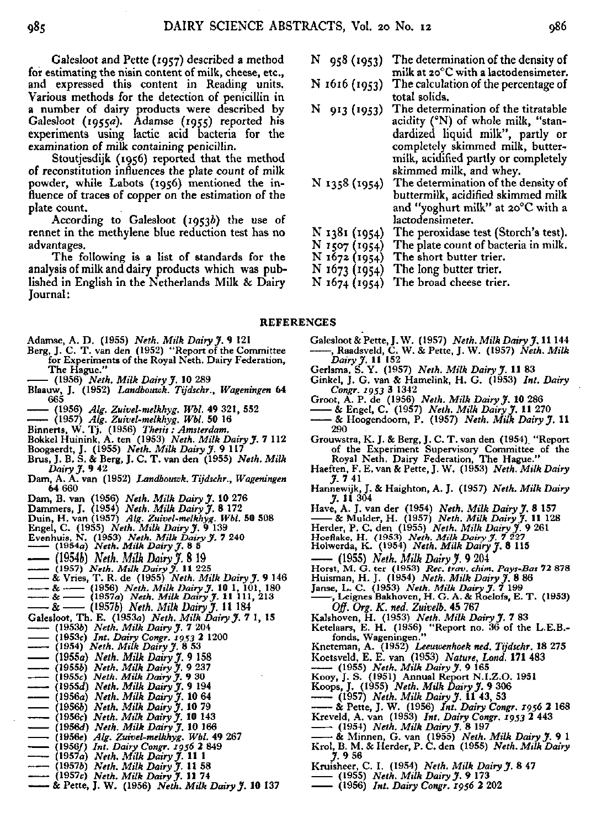Galesloot and Pette (1957) described a method for estimating the nisin content of milk, cheese, etc., and expressed this content in Reading units. Various methods for the detection of penicillin in a number of dairy products were described Galesloot (1955*a*). Adamse (1955) reported experiments using lactic acid bacteria for the examination of milk containing penicillin.

Stoutjesdijk (1956) reported that the method of reconstitution influences the plate count of milk powder, while Labots (1956) mentioned the influence of traces of copper on the estimation of the plate count.

According to Galesloot  $(1953b)$  the use of rennet in the methylene blue reduction test has no advantages.

The following is a list of standards for the analysis of milk and dairy products which was published in English in the Netherlands Milk & Dairy Journal:

- N 95<sup>8</sup>( <sup>I</sup>953) The determination of the density of milk at 20°C with a lactodensimeter.
- N 1616 (1953) The calculation of the percentage total solids.
- $N$  913 (1953) The determination of the titratal acidity (°N) of whole milk, "standardized liquid milk", partly or completely skimmed milk, buttermilk, acidified partly or completely skimmed milk, and whey.
- N 1358 (1954) The determination of the density of buttermilk, acidified skimmed milk and "yoghurt milk" at 20°C with a lactodensimeter.
- N 1381 (1954) The peroxidase test (Storch's test).
- N 1507 (1954) The plate count of bacteria in milk.
- N 1672 (1954) The short butter trier.
- N 1673 (1954) The long butter trier.
- N 1674 (1954) The broad cheese trier.

#### REFERENCES

- Adamse, A. D. (1955) *Neth. Milk Dairy J.* 9 121
- Berg, J. C. T. van den (1952) "Report of the Committee for Experiments of the Royal Neth. Dairy Federation, The Hague.
- **(1956)** *Neth. Milk Dairy J.* **10 289**
- **Blaauw, J. (1952)** *Landbouwk. Tijdschr., Wageningen* **64**  665
- **(1956)** *Alg. Zuivel-melkhyg. Wbl.* **49 321, 552**
- **(1957)** *Alg. Zuivel-melkhyg. Wbl.* **50 16**
- 
- Binnerts, W. Tj. (1956) *Thesis : Amsterdam.*<br>Bokkel Huinink, A. ten (1953) *Neth. Milk Dairy* J.
- Boogaerdt, J. (1955) *Neth. Milk Dairy J.* 9
- Brus, J. B*.* S. & Berg, J. C. T. van den (1955) *Net Dairy J.* **9 42**
- **Dam, A. A. van (1952)** *Landbouwk. Tijdschr., Wageningen*  64 660
- Dam, B. van (1956) *Neth. Milk Dairy J*. 10 276<br>Dammers, J. (1954) *Neth. Milk Dairy J.* 8 172<br>Duin, H. van (1957) *Alg. Zuivel-melkhyg. Wbl.* 50<br>Engel, C. (1953) *Neth. Milk Dairy J.* 9 139<br>Evenhuis, N. (1953) *Neth. Milk*
- 
- 
- 
- 
- **(1954a)** *Neth. Milk Dairy J.* **8 5**
- 
- 
- (1954ft) *Neth. Milk Dairy J.* 8 19 **(1957)** *Neth. Milk Dairy J.* **11 225**  & Vries, T. R. de (1955) *Neth. Milk Dairy J.* 9 146
- 
- & (1956) *Neth. Milk Dairy J.* 10 1, 101, 180 & (1957a) *Neth. Milk Dairy J.* 11 111, 213 & (1957è) *Neth. Milk Dairy J.* 11 184
- 
- Galesloot, Th. E. (1953a) *Neth. Milk Dairy J.* 7 1, 15 **(19536)** *Neth. Milk Dairy y.* **7 204**
- 
- **(1953c)** *Int. Dairy Congr. jg%3* **2 1200**
- **(1954)** *Neth. Milk Dairy J.* **8 53**
- **(1955a)** *Neth. Milk Dairy J.* **9 158**
- **(19556)** *Neth. Milk Dairy J.* **9 237**
- **(1955c)** *Neth. Milk Dairy J.* **9 30**
- **(1955a")** *Neth. Milk Dairy J.* **9 194**
- **(1956a)** *Neth. Milk Dairy J.* **10 64 (19566)** *Neth. Milk Dairy J.* **10 79**
- 
- **(1956c)** *Neth. Milk Dairy J.* **10 143 (1956a<sup>1</sup> )** *Neth. Milk Dairy J.* **10 166**
- **(1956«)** *Alg. Zuivel-melkhyg. Wbl.* **49 267**
- **(1956/)** *Int. Dairy Congr. 1956* **2 849**
- **(1957a)** *Neth. Milk Dairy y.* **11 1**
- **(19576)** *Neth. Milk Dairy J.* **11 58**
- **(1957c)** *Neth. Milk Dairy J.* **11 74**
- & Pette, J. W. (1956) *Neth. Milk Dairy J.* 10 137
- Galesloot & Pette, J. W*. (*1957) *Neth. Milk Dairy J.* 1<br>-----, Raadsveld, C. W. & Pette, J. W. (1957) *Neth*.
- *Dairy J.* **11 152**  Gerlsma, S. Y. (1957) *Neth. Milk Dairy J.* 11 83
- Ginkel, J. G. van & Hamelink, H. G. (1953) *Int. Congr. 1953* **3 1342**
- Groot, A. P. de (1956) Neth. Milk Dairy **J. 1**
- & Engel, C. (1957) *Neth. Milk Dairy y.* 11 270
- & Hoogendoorn, P. (1957) *Neth. Milk Dairy y.* 11 290
- Grouwstra, K. J. & Berg, J. C. T. van den (1954) "Report of the Experiment Supervisory Committee of Royal Neth. Dairy Federation, The Hague
- Haeften, F. E. van & Pette, J. W. (1953) *Neth. Milk Dairy y.* 7 41
- Hannewijk, J. & Haighton, A. J. (1957) *Neth. Milk Dairy y.* 11 30
- Have, A. J. van der (1954) Neth. Milk Dairy J.
- & Mulder, H. (1957) *Neth. Milk Dairy* J. 11 128
- Herder, P. C. den (1955) *Neth. Milk Dairy J.*<br>Hoeflake, H. (1953) *Neth. Milk Dairy J. 7 227*<br>Holwerda, K. (1954) *Neth. Milk Dairy J.* 8 11
- 
- 
- (1955) *Neth. Milk Dairy J.* 9 204
- Horst, M. G. ter (1953) *Ree. trav. chim. Pays-Bas* 72 878
- Huisman, H. J. (1954) *Neth. Milk Dairy J.*
- Janse, L. C. (1953) *Neth. Milk Dairy y.* 7 199 , Leignes Bakhoven, H. G. A. & Roelofs, E. T. (1953)
- *Off. Org. K. ned. Zuivelb.* **45 767**
- Kalshoven, H. (1953) *Neth. Milk Dairy J.*<br>\*\*\*
- Ketelaars, E. H. (1956). "Report no. 36 of the L. fonds, Wageningen."
- **Kneteman, A. (1952)** *Leeuwenhoek ned. Tijdschr.* **18 275**
- Koetsveld, E. E. van (1953) Nature, Lond. 171 483
- **(1955)** *Neth. Milk Dairy y.* **9 165**
- Kooy, J. S. (1951) Annual Report N.I.Z.O. 1
- Koops, J. (1955) *Neth. Milk Dairy y.* 9 306
- **(1957)** *Neth. Milk Dairy y.* **11 43, 53**
- & Pette, J. W. (1956) *Int. Dairy Congr. 1956* 2 168
- Kreveld, A. van (1953) *Int. Dairy Congr. 1953 2* 443
- **(1954)** *Neth. Milk Dairy y.* **8 197**
- & Minnen, G. van (1955) *Neth. Milk Dairy y.* 9 1 Krol, B. M. & Herder, P. C. den (1955) *Neth. Milk Dairy y.* 9 56
- 
- Kruisheer, C. I. (1954) *Neth. Milk Dairy y.* 8 47 **(1955)** *Neth. Milk Dairy y.* **9 173**